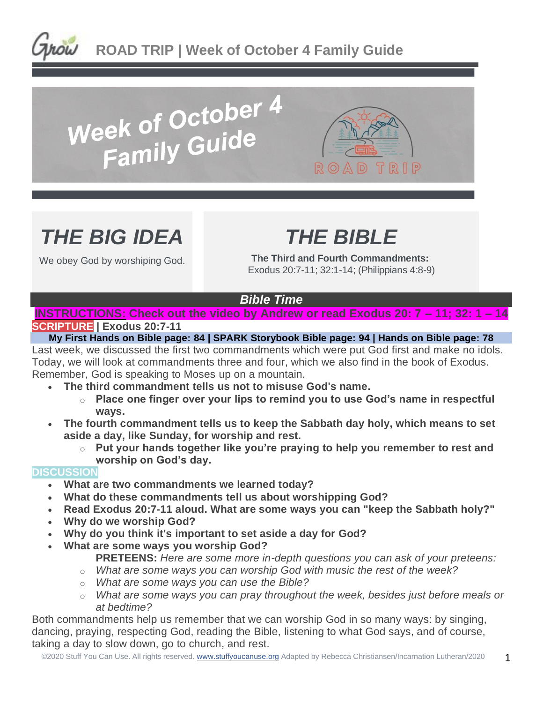

# Week of October 4<br>Family Guide



# *THE BIG IDEA*

We obey God by worshiping God.

# *THE BIBLE*

**The Third and Fourth Commandments:** Exodus 20:7-11; 32:1-14; (Philippians 4:8-9)

## *Bible Time*

### **INSTRUCTIONS: Check out the video by Andrew or read Exodus 20: 7 – 11; 32: 1 – 14 SCRIPTURE | Exodus 20:7-11**

**My First Hands on Bible page: 84 | SPARK Storybook Bible page: 94 | Hands on Bible page: 78** Last week, we discussed the first two commandments which were put God first and make no idols. Today, we will look at commandments three and four, which we also find in the book of Exodus. Remember, God is speaking to Moses up on a mountain.

- **The third commandment tells us not to misuse God's name.**
	- o **Place one finger over your lips to remind you to use God's name in respectful ways.**
- **The fourth commandment tells us to keep the Sabbath day holy, which means to set aside a day, like Sunday, for worship and rest.**
	- o **Put your hands together like you're praying to help you remember to rest and worship on God's day.**

## **DISCUSSION**

- **What are two commandments we learned today?**
- **What do these commandments tell us about worshipping God?**
- **Read Exodus 20:7-11 aloud. What are some ways you can "keep the Sabbath holy?"**
- **Why do we worship God?**
- **Why do you think it's important to set aside a day for God?**
- **What are some ways you worship God?**
	- **PRETEENS:** *Here are some more in-depth questions you can ask of your preteens:*
	- o *What are some ways you can worship God with music the rest of the week?*
	- o *What are some ways you can use the Bible?*
	- o *What are some ways you can pray throughout the week, besides just before meals or at bedtime?*

Both commandments help us remember that we can worship God in so many ways: by singing, dancing, praying, respecting God, reading the Bible, listening to what God says, and of course, taking a day to slow down, go to church, and rest.